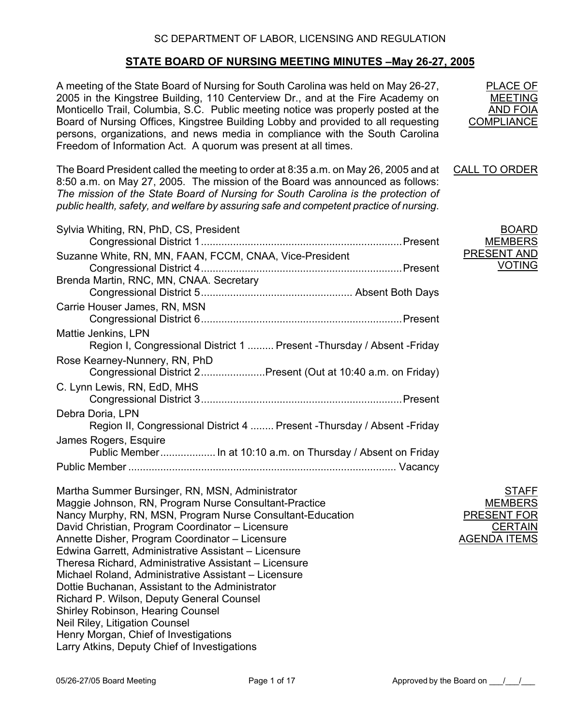# **STATE BOARD OF NURSING MEETING MINUTES –May 26-27, 2005**

A meeting of the State Board of Nursing for South Carolina was held on May 26-27, 2005 in the Kingstree Building, 110 Centerview Dr., and at the Fire Academy on Monticello Trail, Columbia, S.C. Public meeting notice was properly posted at the Board of Nursing Offices, Kingstree Building Lobby and provided to all requesting persons, organizations, and news media in compliance with the South Carolina Freedom of Information Act. A quorum was present at all times. PLACE OF MEETING AND FOIA **COMPLIANCE** The Board President called the meeting to order at 8:35 a.m. on May 26, 2005 and at 8:50 a.m. on May 27, 2005. The mission of the Board was announced as follows: *The mission of the State Board of Nursing for South Carolina is the protection of public health, safety, and welfare by assuring safe and competent practice of nursing*. CALL TO ORDER Sylvia Whiting, RN, PhD, CS, President Congressional District 1.....................................................................Present Suzanne White, RN, MN, FAAN, FCCM, CNAA, Vice-President Congressional District 4.....................................................................Present Brenda Martin, RNC, MN, CNAA. Secretary Congressional District 5.................................................... Absent Both Days Carrie Houser James, RN, MSN Congressional District 6.....................................................................Present Mattie Jenkins, LPN Region I, Congressional District 1 ......... Present -Thursday / Absent -Friday Rose Kearney-Nunnery, RN, PhD Congressional District 2......................Present (Out at 10:40 a.m. on Friday) C. Lynn Lewis, RN, EdD, MHS Congressional District 3.....................................................................Present Debra Doria, LPN Region II, Congressional District 4 ........ Present -Thursday / Absent -Friday James Rogers, Esquire Public Member...................... In at 10:10 a.m. on Thursday / Absent on Friday Public Member ............................................................................................ Vacancy BOARD MEMBERS PRESENT AND VOTING Martha Summer Bursinger, RN, MSN, Administrator Maggie Johnson, RN, Program Nurse Consultant-Practice Nancy Murphy, RN, MSN, Program Nurse Consultant-Education David Christian, Program Coordinator – Licensure Annette Disher, Program Coordinator – Licensure Edwina Garrett, Administrative Assistant – Licensure Theresa Richard, Administrative Assistant – Licensure Michael Roland, Administrative Assistant – Licensure Dottie Buchanan, Assistant to the Administrator Richard P. Wilson, Deputy General Counsel Shirley Robinson, Hearing Counsel Neil Riley, Litigation Counsel Henry Morgan, Chief of Investigations Larry Atkins, Deputy Chief of Investigations STAFF **MEMBERS** PRESENT FOR **CERTAIN** AGENDA ITEMS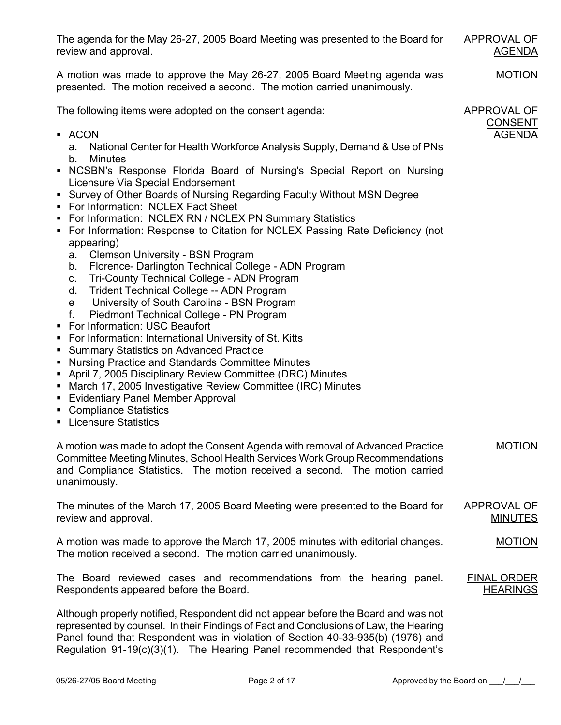The agenda for the May 26-27, 2005 Board Meeting was presented to the Board for review and approval.

A motion was made to approve the May 26-27, 2005 Board Meeting agenda was presented. The motion received a second. The motion carried unanimously.

The following items were adopted on the consent agenda:

- ACON
	- a. National Center for Health Workforce Analysis Supply, Demand & Use of PNs
	- b. Minutes
- NCSBN's Response Florida Board of Nursing's Special Report on Nursing Licensure Via Special Endorsement
- Survey of Other Boards of Nursing Regarding Faculty Without MSN Degree
- **For Information: NCLEX Fact Sheet**
- **For Information: NCLEX RN / NCLEX PN Summary Statistics**
- **FILM** For Information: Response to Citation for NCLEX Passing Rate Deficiency (not appearing)
	- a. Clemson University BSN Program
	- b. Florence- Darlington Technical College ADN Program
	- c. Tri-County Technical College ADN Program
	- d. Trident Technical College -- ADN Program
	- e University of South Carolina BSN Program
	- f. Piedmont Technical College PN Program
- For Information: USC Beaufort
- For Information: International University of St. Kitts
- **Summary Statistics on Advanced Practice**
- Nursing Practice and Standards Committee Minutes
- April 7, 2005 Disciplinary Review Committee (DRC) Minutes
- **March 17, 2005 Investigative Review Committee (IRC) Minutes**
- **Evidentiary Panel Member Approval**
- Compliance Statistics
- **Licensure Statistics**

A motion was made to adopt the Consent Agenda with removal of Advanced Practice Committee Meeting Minutes, School Health Services Work Group Recommendations and Compliance Statistics. The motion received a second. The motion carried unanimously.

The minutes of the March 17, 2005 Board Meeting were presented to the Board for review and approval. APPROVAL OF MINUTES

A motion was made to approve the March 17, 2005 minutes with editorial changes. The motion received a second. The motion carried unanimously. MOTION

The Board reviewed cases and recommendations from the hearing panel. Respondents appeared before the Board. FINAL ORDER **HEARINGS** 

Although properly notified, Respondent did not appear before the Board and was not represented by counsel. In their Findings of Fact and Conclusions of Law, the Hearing Panel found that Respondent was in violation of Section 40-33-935(b) (1976) and Regulation 91-19(c)(3)(1). The Hearing Panel recommended that Respondent's APPROVAL OF CONSENT AGENDA

APPROVAL OF

AGENDA

MOTION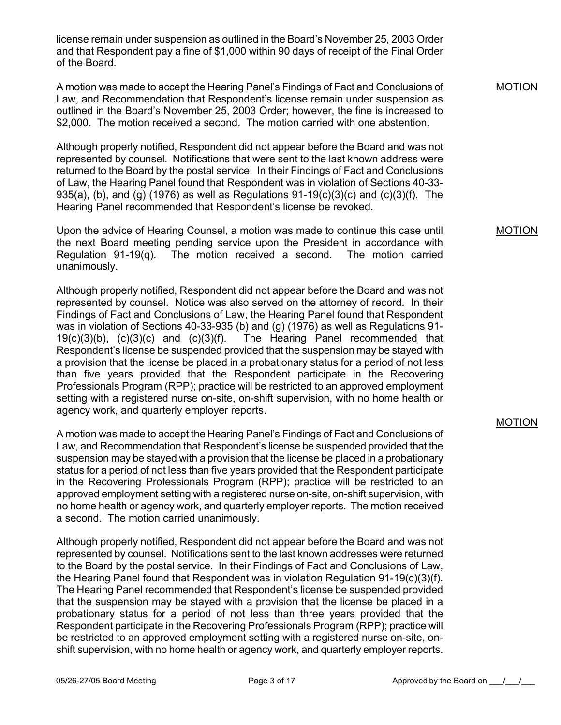license remain under suspension as outlined in the Board's November 25, 2003 Order and that Respondent pay a fine of \$1,000 within 90 days of receipt of the Final Order of the Board.

A motion was made to accept the Hearing Panel's Findings of Fact and Conclusions of Law, and Recommendation that Respondent's license remain under suspension as outlined in the Board's November 25, 2003 Order; however, the fine is increased to \$2,000. The motion received a second. The motion carried with one abstention.

Although properly notified, Respondent did not appear before the Board and was not represented by counsel. Notifications that were sent to the last known address were returned to the Board by the postal service. In their Findings of Fact and Conclusions of Law, the Hearing Panel found that Respondent was in violation of Sections 40-33- 935(a), (b), and (g) (1976) as well as Regulations  $91-19(c)(3)(c)$  and (c)(3)(f). The Hearing Panel recommended that Respondent's license be revoked.

Upon the advice of Hearing Counsel, a motion was made to continue this case until the next Board meeting pending service upon the President in accordance with Regulation 91-19 $(q)$ . The motion received a second. The motion carried unanimously.

Although properly notified, Respondent did not appear before the Board and was not represented by counsel. Notice was also served on the attorney of record. In their Findings of Fact and Conclusions of Law, the Hearing Panel found that Respondent was in violation of Sections 40-33-935 (b) and (g) (1976) as well as Regulations 91- 19(c)(3)(b), (c)(3)(c) and (c)(3)(f). The Hearing Panel recommended that Respondent's license be suspended provided that the suspension may be stayed with a provision that the license be placed in a probationary status for a period of not less than five years provided that the Respondent participate in the Recovering Professionals Program (RPP); practice will be restricted to an approved employment setting with a registered nurse on-site, on-shift supervision, with no home health or agency work, and quarterly employer reports.

A motion was made to accept the Hearing Panel's Findings of Fact and Conclusions of Law, and Recommendation that Respondent's license be suspended provided that the suspension may be stayed with a provision that the license be placed in a probationary status for a period of not less than five years provided that the Respondent participate in the Recovering Professionals Program (RPP); practice will be restricted to an approved employment setting with a registered nurse on-site, on-shift supervision, with no home health or agency work, and quarterly employer reports. The motion received a second. The motion carried unanimously.

Although properly notified, Respondent did not appear before the Board and was not represented by counsel. Notifications sent to the last known addresses were returned to the Board by the postal service. In their Findings of Fact and Conclusions of Law, the Hearing Panel found that Respondent was in violation Regulation 91-19(c)(3)(f). The Hearing Panel recommended that Respondent's license be suspended provided that the suspension may be stayed with a provision that the license be placed in a probationary status for a period of not less than three years provided that the Respondent participate in the Recovering Professionals Program (RPP); practice will be restricted to an approved employment setting with a registered nurse on-site, onshift supervision, with no home health or agency work, and quarterly employer reports.

#### MOTION

MOTION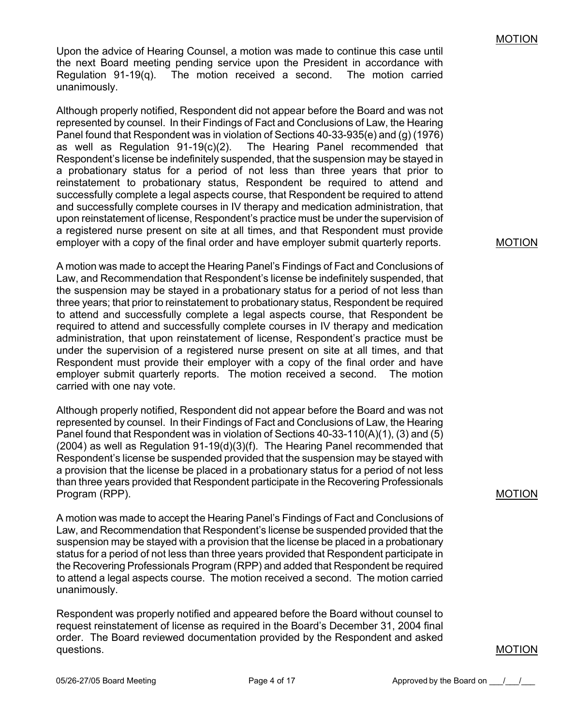Upon the advice of Hearing Counsel, a motion was made to continue this case until the next Board meeting pending service upon the President in accordance with Regulation 91-19(q). The motion received a second. The motion carried unanimously.

Although properly notified, Respondent did not appear before the Board and was not represented by counsel. In their Findings of Fact and Conclusions of Law, the Hearing Panel found that Respondent was in violation of Sections 40-33-935(e) and (g) (1976) as well as Regulation 91-19(c)(2). The Hearing Panel recommended that Respondent's license be indefinitely suspended, that the suspension may be stayed in a probationary status for a period of not less than three years that prior to reinstatement to probationary status, Respondent be required to attend and successfully complete a legal aspects course, that Respondent be required to attend and successfully complete courses in IV therapy and medication administration, that upon reinstatement of license, Respondent's practice must be under the supervision of a registered nurse present on site at all times, and that Respondent must provide employer with a copy of the final order and have employer submit quarterly reports.

A motion was made to accept the Hearing Panel's Findings of Fact and Conclusions of Law, and Recommendation that Respondent's license be indefinitely suspended, that the suspension may be stayed in a probationary status for a period of not less than three years; that prior to reinstatement to probationary status, Respondent be required to attend and successfully complete a legal aspects course, that Respondent be required to attend and successfully complete courses in IV therapy and medication administration, that upon reinstatement of license, Respondent's practice must be under the supervision of a registered nurse present on site at all times, and that Respondent must provide their employer with a copy of the final order and have employer submit quarterly reports. The motion received a second. The motion carried with one nay vote.

Although properly notified, Respondent did not appear before the Board and was not represented by counsel. In their Findings of Fact and Conclusions of Law, the Hearing Panel found that Respondent was in violation of Sections 40-33-110(A)(1), (3) and (5)  $(2004)$  as well as Regulation  $91-19(d)(3)(f)$ . The Hearing Panel recommended that Respondent's license be suspended provided that the suspension may be stayed with a provision that the license be placed in a probationary status for a period of not less than three years provided that Respondent participate in the Recovering Professionals Program (RPP).

A motion was made to accept the Hearing Panel's Findings of Fact and Conclusions of Law, and Recommendation that Respondent's license be suspended provided that the suspension may be stayed with a provision that the license be placed in a probationary status for a period of not less than three years provided that Respondent participate in the Recovering Professionals Program (RPP) and added that Respondent be required to attend a legal aspects course. The motion received a second. The motion carried unanimously.

Respondent was properly notified and appeared before the Board without counsel to request reinstatement of license as required in the Board's December 31, 2004 final order. The Board reviewed documentation provided by the Respondent and asked questions.

#### MOTION

#### MOTION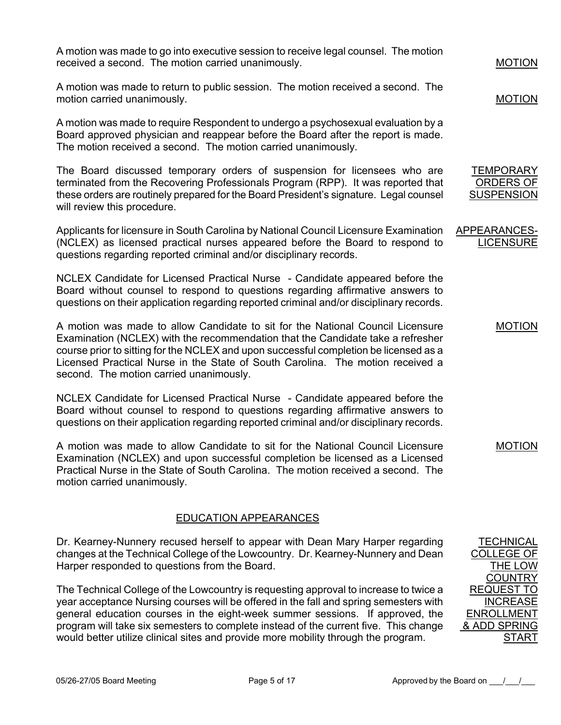A motion was made to go into executive session to receive legal counsel. The motion received a second. The motion carried unanimously.

A motion was made to return to public session. The motion received a second. The motion carried unanimously.

A motion was made to require Respondent to undergo a psychosexual evaluation by a Board approved physician and reappear before the Board after the report is made. The motion received a second. The motion carried unanimously.

The Board discussed temporary orders of suspension for licensees who are terminated from the Recovering Professionals Program (RPP). It was reported that these orders are routinely prepared for the Board President's signature. Legal counsel will review this procedure.

Applicants for licensure in South Carolina by National Council Licensure Examination (NCLEX) as licensed practical nurses appeared before the Board to respond to questions regarding reported criminal and/or disciplinary records.

NCLEX Candidate for Licensed Practical Nurse - Candidate appeared before the Board without counsel to respond to questions regarding affirmative answers to questions on their application regarding reported criminal and/or disciplinary records.

A motion was made to allow Candidate to sit for the National Council Licensure Examination (NCLEX) with the recommendation that the Candidate take a refresher course prior to sitting for the NCLEX and upon successful completion be licensed as a Licensed Practical Nurse in the State of South Carolina. The motion received a second. The motion carried unanimously.

NCLEX Candidate for Licensed Practical Nurse - Candidate appeared before the Board without counsel to respond to questions regarding affirmative answers to questions on their application regarding reported criminal and/or disciplinary records.

A motion was made to allow Candidate to sit for the National Council Licensure Examination (NCLEX) and upon successful completion be licensed as a Licensed Practical Nurse in the State of South Carolina. The motion received a second. The motion carried unanimously.

# EDUCATION APPEARANCES

Dr. Kearney-Nunnery recused herself to appear with Dean Mary Harper regarding changes at the Technical College of the Lowcountry. Dr. Kearney-Nunnery and Dean Harper responded to questions from the Board.

The Technical College of the Lowcountry is requesting approval to increase to twice a year acceptance Nursing courses will be offered in the fall and spring semesters with general education courses in the eight-week summer sessions. If approved, the program will take six semesters to complete instead of the current five. This change would better utilize clinical sites and provide more mobility through the program.

MOTION

MOTION

**TEMPORARY** ORDERS OF **SUSPENSION** 

APPEARANCES-**LICENSURE** 

MOTION

MOTION

TECHNICAL COLLEGE OF THE LOW **COUNTRY** REQUEST TO **INCREASE** ENROLLMENT & ADD SPRING

START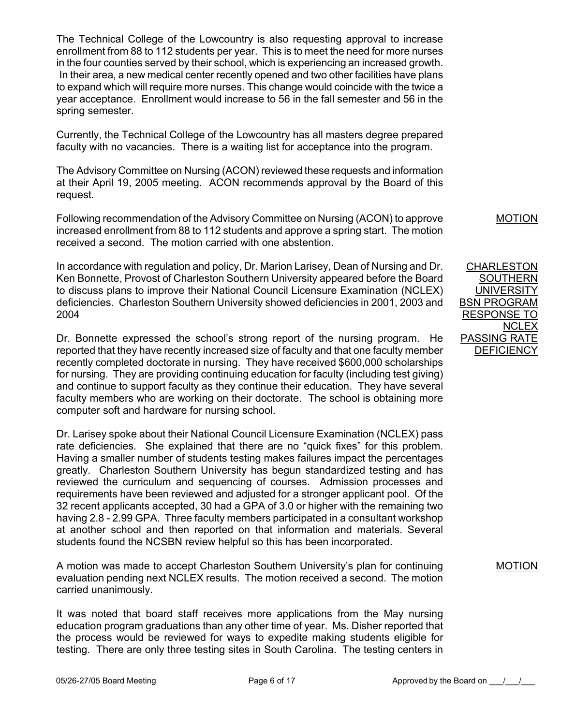The Technical College of the Lowcountry is also requesting approval to increase enrollment from 88 to 112 students per year. This is to meet the need for more nurses in the four counties served by their school, which is experiencing an increased growth. In their area, a new medical center recently opened and two other facilities have plans to expand which will require more nurses. This change would coincide with the twice a year acceptance. Enrollment would increase to 56 in the fall semester and 56 in the spring semester.

Currently, the Technical College of the Lowcountry has all masters degree prepared faculty with no vacancies. There is a waiting list for acceptance into the program.

The Advisory Committee on Nursing (ACON) reviewed these requests and information at their April 19, 2005 meeting. ACON recommends approval by the Board of this request.

Following recommendation of the Advisory Committee on Nursing (ACON) to approve increased enrollment from 88 to 112 students and approve a spring start. The motion received a second. The motion carried with one abstention.

In accordance with regulation and policy, Dr. Marion Larisey, Dean of Nursing and Dr. Ken Bonnette, Provost of Charleston Southern University appeared before the Board to discuss plans to improve their National Council Licensure Examination (NCLEX) deficiencies. Charleston Southern University showed deficiencies in 2001, 2003 and 2004

Dr. Bonnette expressed the school's strong report of the nursing program. He reported that they have recently increased size of faculty and that one faculty member recently completed doctorate in nursing. They have received \$600,000 scholarships for nursing. They are providing continuing education for faculty (including test giving) and continue to support faculty as they continue their education. They have several faculty members who are working on their doctorate. The school is obtaining more computer soft and hardware for nursing school.

Dr. Larisey spoke about their National Council Licensure Examination (NCLEX) pass rate deficiencies. She explained that there are no "quick fixes" for this problem. Having a smaller number of students testing makes failures impact the percentages greatly. Charleston Southern University has begun standardized testing and has reviewed the curriculum and sequencing of courses. Admission processes and requirements have been reviewed and adjusted for a stronger applicant pool. Of the 32 recent applicants accepted, 30 had a GPA of 3.0 or higher with the remaining two having 2.8 - 2.99 GPA. Three faculty members participated in a consultant workshop at another school and then reported on that information and materials. Several students found the NCSBN review helpful so this has been incorporated.

A motion was made to accept Charleston Southern University's plan for continuing evaluation pending next NCLEX results. The motion received a second. The motion carried unanimously.

It was noted that board staff receives more applications from the May nursing education program graduations than any other time of year. Ms. Disher reported that the process would be reviewed for ways to expedite making students eligible for testing. There are only three testing sites in South Carolina. The testing centers in MOTION

CHARLESTON SOUTHERN **UNIVERSITY** BSN PROGRAM RESPONSE TO **NCLEX** PASSING RATE **DEFICIENCY**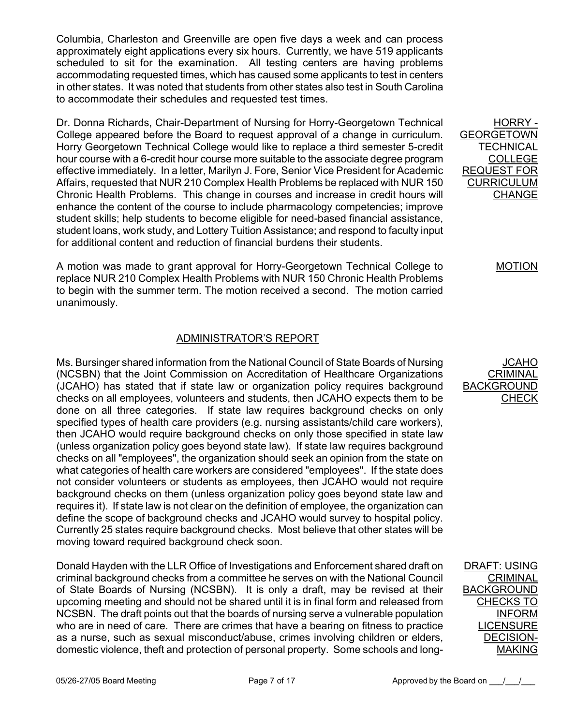Columbia, Charleston and Greenville are open five days a week and can process approximately eight applications every six hours. Currently, we have 519 applicants scheduled to sit for the examination. All testing centers are having problems accommodating requested times, which has caused some applicants to test in centers in other states. It was noted that students from other states also test in South Carolina to accommodate their schedules and requested test times.

Dr. Donna Richards, Chair-Department of Nursing for Horry-Georgetown Technical College appeared before the Board to request approval of a change in curriculum. Horry Georgetown Technical College would like to replace a third semester 5-credit hour course with a 6-credit hour course more suitable to the associate degree program effective immediately. In a letter, Marilyn J. Fore, Senior Vice President for Academic Affairs, requested that NUR 210 Complex Health Problems be replaced with NUR 150 Chronic Health Problems. This change in courses and increase in credit hours will enhance the content of the course to include pharmacology competencies; improve student skills; help students to become eligible for need-based financial assistance, student loans, work study, and Lottery Tuition Assistance; and respond to faculty input for additional content and reduction of financial burdens their students.

A motion was made to grant approval for Horry-Georgetown Technical College to replace NUR 210 Complex Health Problems with NUR 150 Chronic Health Problems to begin with the summer term. The motion received a second. The motion carried unanimously.

# ADMINISTRATOR'S REPORT

Ms. Bursinger shared information from the National Council of State Boards of Nursing (NCSBN) that the Joint Commission on Accreditation of Healthcare Organizations (JCAHO) has stated that if state law or organization policy requires background checks on all employees, volunteers and students, then JCAHO expects them to be done on all three categories. If state law requires background checks on only specified types of health care providers (e.g. nursing assistants/child care workers), then JCAHO would require background checks on only those specified in state law (unless organization policy goes beyond state law). If state law requires background checks on all "employees", the organization should seek an opinion from the state on what categories of health care workers are considered "employees". If the state does not consider volunteers or students as employees, then JCAHO would not require background checks on them (unless organization policy goes beyond state law and requires it). If state law is not clear on the definition of employee, the organization can define the scope of background checks and JCAHO would survey to hospital policy. Currently 25 states require background checks. Most believe that other states will be moving toward required background check soon.

Donald Hayden with the LLR Office of Investigations and Enforcement shared draft on criminal background checks from a committee he serves on with the National Council of State Boards of Nursing (NCSBN). It is only a draft, may be revised at their upcoming meeting and should not be shared until it is in final form and released from NCSBN. The draft points out that the boards of nursing serve a vulnerable population who are in need of care. There are crimes that have a bearing on fitness to practice as a nurse, such as sexual misconduct/abuse, crimes involving children or elders, domestic violence, theft and protection of personal property. Some schools and long-

HORRY - GEORGETOWN **TECHNICAL** COLLEGE REQUEST FOR CURRICULUM **CHANGE** 

#### MOTION

JCAHO **CRIMINAL** BACKGROUND **CHECK** 

DRAFT: USING CRIMINAL BACKGROUND CHECKS TO INFORM **LICENSURE** DECISION-MAKING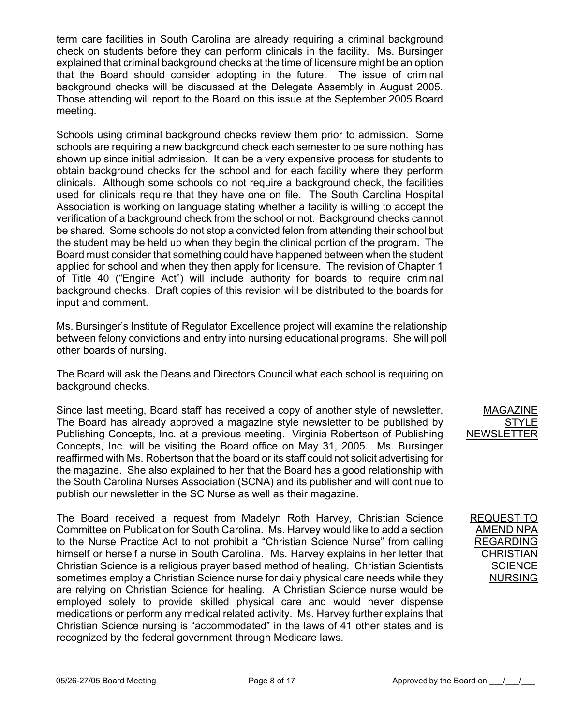term care facilities in South Carolina are already requiring a criminal background check on students before they can perform clinicals in the facility. Ms. Bursinger explained that criminal background checks at the time of licensure might be an option that the Board should consider adopting in the future. The issue of criminal background checks will be discussed at the Delegate Assembly in August 2005. Those attending will report to the Board on this issue at the September 2005 Board meeting.

Schools using criminal background checks review them prior to admission. Some schools are requiring a new background check each semester to be sure nothing has shown up since initial admission. It can be a very expensive process for students to obtain background checks for the school and for each facility where they perform clinicals. Although some schools do not require a background check, the facilities used for clinicals require that they have one on file. The South Carolina Hospital Association is working on language stating whether a facility is willing to accept the verification of a background check from the school or not. Background checks cannot be shared. Some schools do not stop a convicted felon from attending their school but the student may be held up when they begin the clinical portion of the program. The Board must consider that something could have happened between when the student applied for school and when they then apply for licensure. The revision of Chapter 1 of Title 40 ("Engine Act") will include authority for boards to require criminal background checks. Draft copies of this revision will be distributed to the boards for input and comment.

Ms. Bursinger's Institute of Regulator Excellence project will examine the relationship between felony convictions and entry into nursing educational programs. She will poll other boards of nursing.

The Board will ask the Deans and Directors Council what each school is requiring on background checks.

Since last meeting, Board staff has received a copy of another style of newsletter. The Board has already approved a magazine style newsletter to be published by Publishing Concepts, Inc. at a previous meeting. Virginia Robertson of Publishing Concepts, Inc. will be visiting the Board office on May 31, 2005. Ms. Bursinger reaffirmed with Ms. Robertson that the board or its staff could not solicit advertising for the magazine. She also explained to her that the Board has a good relationship with the South Carolina Nurses Association (SCNA) and its publisher and will continue to publish our newsletter in the SC Nurse as well as their magazine.

The Board received a request from Madelyn Roth Harvey, Christian Science Committee on Publication for South Carolina. Ms. Harvey would like to add a section to the Nurse Practice Act to not prohibit a "Christian Science Nurse" from calling himself or herself a nurse in South Carolina. Ms. Harvey explains in her letter that Christian Science is a religious prayer based method of healing. Christian Scientists sometimes employ a Christian Science nurse for daily physical care needs while they are relying on Christian Science for healing. A Christian Science nurse would be employed solely to provide skilled physical care and would never dispense medications or perform any medical related activity. Ms. Harvey further explains that Christian Science nursing is "accommodated" in the laws of 41 other states and is recognized by the federal government through Medicare laws.

MAGAZINE **STYLE** NEWSLETTER

# REQUEST TO AMEND NPA REGARDING **CHRISTIAN SCIENCE** NURSING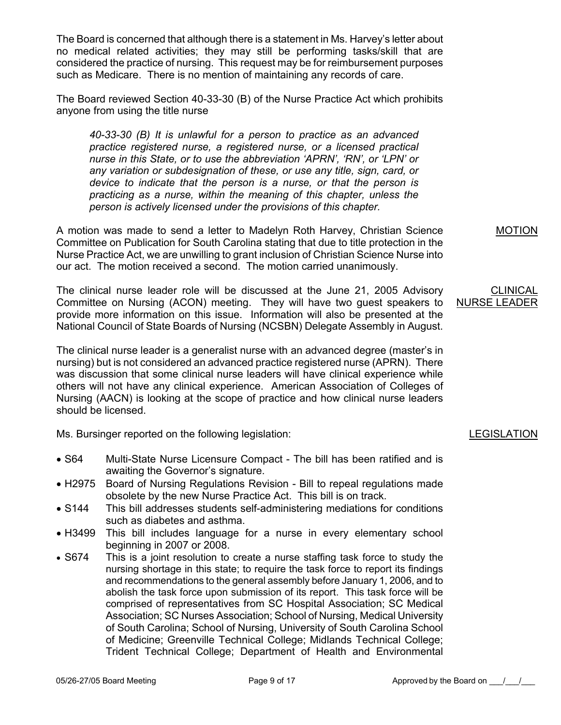The Board is concerned that although there is a statement in Ms. Harvey's letter about no medical related activities; they may still be performing tasks/skill that are considered the practice of nursing. This request may be for reimbursement purposes such as Medicare. There is no mention of maintaining any records of care.

The Board reviewed Section 40-33-30 (B) of the Nurse Practice Act which prohibits anyone from using the title nurse

*40-33-30 (B) It is unlawful for a person to practice as an advanced practice registered nurse, a registered nurse, or a licensed practical nurse in this State, or to use the abbreviation 'APRN', 'RN', or 'LPN' or any variation or subdesignation of these, or use any title, sign, card, or device to indicate that the person is a nurse, or that the person is practicing as a nurse, within the meaning of this chapter, unless the person is actively licensed under the provisions of this chapter.* 

A motion was made to send a letter to Madelyn Roth Harvey, Christian Science Committee on Publication for South Carolina stating that due to title protection in the Nurse Practice Act, we are unwilling to grant inclusion of Christian Science Nurse into our act. The motion received a second. The motion carried unanimously.

The clinical nurse leader role will be discussed at the June 21, 2005 Advisory Committee on Nursing (ACON) meeting. They will have two guest speakers to provide more information on this issue. Information will also be presented at the National Council of State Boards of Nursing (NCSBN) Delegate Assembly in August.

The clinical nurse leader is a generalist nurse with an advanced degree (master's in nursing) but is not considered an advanced practice registered nurse (APRN). There was discussion that some clinical nurse leaders will have clinical experience while others will not have any clinical experience. American Association of Colleges of Nursing (AACN) is looking at the scope of practice and how clinical nurse leaders should be licensed.

Ms. Bursinger reported on the following legislation:

- S64 Multi-State Nurse Licensure Compact The bill has been ratified and is awaiting the Governor's signature.
- H2975 Board of Nursing Regulations Revision Bill to repeal regulations made obsolete by the new Nurse Practice Act. This bill is on track.
- S144 This bill addresses students self-administering mediations for conditions such as diabetes and asthma
- H3499 This bill includes language for a nurse in every elementary school beginning in 2007 or 2008.
- S674 This is a joint resolution to create a nurse staffing task force to study the nursing shortage in this state; to require the task force to report its findings and recommendations to the general assembly before January 1, 2006, and to abolish the task force upon submission of its report. This task force will be comprised of representatives from SC Hospital Association; SC Medical Association; SC Nurses Association; School of Nursing, Medical University of South Carolina; School of Nursing, University of South Carolina School of Medicine; Greenville Technical College; Midlands Technical College; Trident Technical College; Department of Health and Environmental

MOTION

#### **CLINICAL** NURSE LEADER

# LEGISLATION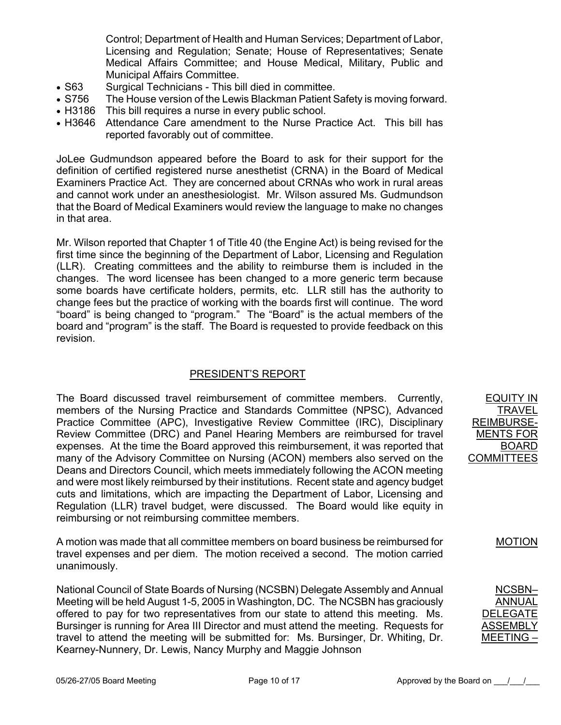Control; Department of Health and Human Services; Department of Labor, Licensing and Regulation; Senate; House of Representatives; Senate Medical Affairs Committee; and House Medical, Military, Public and Municipal Affairs Committee.

- S63 Surgical Technicians This bill died in committee.
- S756 The House version of the Lewis Blackman Patient Safety is moving forward.
- H3186 This bill requires a nurse in every public school.
- H3646 Attendance Care amendment to the Nurse Practice Act. This bill has reported favorably out of committee.

JoLee Gudmundson appeared before the Board to ask for their support for the definition of certified registered nurse anesthetist (CRNA) in the Board of Medical Examiners Practice Act. They are concerned about CRNAs who work in rural areas and cannot work under an anesthesiologist. Mr. Wilson assured Ms. Gudmundson that the Board of Medical Examiners would review the language to make no changes in that area.

Mr. Wilson reported that Chapter 1 of Title 40 (the Engine Act) is being revised for the first time since the beginning of the Department of Labor, Licensing and Regulation (LLR). Creating committees and the ability to reimburse them is included in the changes. The word licensee has been changed to a more generic term because some boards have certificate holders, permits, etc. LLR still has the authority to change fees but the practice of working with the boards first will continue. The word "board" is being changed to "program." The "Board" is the actual members of the board and "program" is the staff. The Board is requested to provide feedback on this revision.

# PRESIDENT'S REPORT

The Board discussed travel reimbursement of committee members. Currently, members of the Nursing Practice and Standards Committee (NPSC), Advanced Practice Committee (APC), Investigative Review Committee (IRC), Disciplinary Review Committee (DRC) and Panel Hearing Members are reimbursed for travel expenses. At the time the Board approved this reimbursement, it was reported that many of the Advisory Committee on Nursing (ACON) members also served on the Deans and Directors Council, which meets immediately following the ACON meeting and were most likely reimbursed by their institutions. Recent state and agency budget cuts and limitations, which are impacting the Department of Labor, Licensing and Regulation (LLR) travel budget, were discussed. The Board would like equity in reimbursing or not reimbursing committee members.

A motion was made that all committee members on board business be reimbursed for travel expenses and per diem. The motion received a second. The motion carried unanimously.

National Council of State Boards of Nursing (NCSBN) Delegate Assembly and Annual Meeting will be held August 1-5, 2005 in Washington, DC. The NCSBN has graciously offered to pay for two representatives from our state to attend this meeting. Ms. Bursinger is running for Area III Director and must attend the meeting. Requests for travel to attend the meeting will be submitted for: Ms. Bursinger, Dr. Whiting, Dr. Kearney-Nunnery, Dr. Lewis, Nancy Murphy and Maggie Johnson

EQUITY IN TRAVEL REIMBURSE-MENTS FOR BOARD **COMMITTEES** 

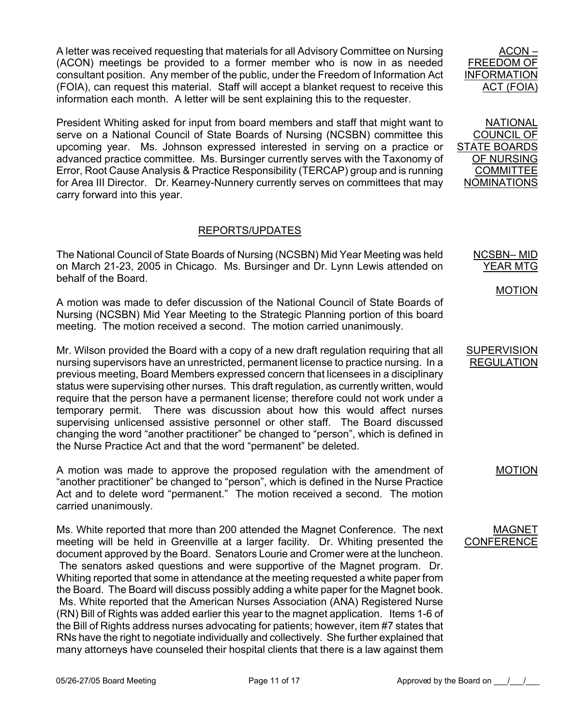A letter was received requesting that materials for all Advisory Committee on Nursing (ACON) meetings be provided to a former member who is now in as needed consultant position. Any member of the public, under the Freedom of Information Act (FOIA), can request this material. Staff will accept a blanket request to receive this information each month. A letter will be sent explaining this to the requester.

President Whiting asked for input from board members and staff that might want to serve on a National Council of State Boards of Nursing (NCSBN) committee this upcoming year. Ms. Johnson expressed interested in serving on a practice or advanced practice committee. Ms. Bursinger currently serves with the Taxonomy of Error, Root Cause Analysis & Practice Responsibility (TERCAP) group and is running for Area III Director. Dr. Kearney-Nunnery currently serves on committees that may carry forward into this year.

# REPORTS/UPDATES

The National Council of State Boards of Nursing (NCSBN) Mid Year Meeting was held on March 21-23, 2005 in Chicago. Ms. Bursinger and Dr. Lynn Lewis attended on behalf of the Board.

A motion was made to defer discussion of the National Council of State Boards of Nursing (NCSBN) Mid Year Meeting to the Strategic Planning portion of this board meeting. The motion received a second. The motion carried unanimously.

Mr. Wilson provided the Board with a copy of a new draft regulation requiring that all nursing supervisors have an unrestricted, permanent license to practice nursing. In a previous meeting, Board Members expressed concern that licensees in a disciplinary status were supervising other nurses. This draft regulation, as currently written, would require that the person have a permanent license; therefore could not work under a temporary permit. There was discussion about how this would affect nurses supervising unlicensed assistive personnel or other staff. The Board discussed changing the word "another practitioner" be changed to "person", which is defined in the Nurse Practice Act and that the word "permanent" be deleted.

A motion was made to approve the proposed regulation with the amendment of "another practitioner" be changed to "person", which is defined in the Nurse Practice Act and to delete word "permanent." The motion received a second. The motion carried unanimously.

Ms. White reported that more than 200 attended the Magnet Conference. The next meeting will be held in Greenville at a larger facility. Dr. Whiting presented the document approved by the Board. Senators Lourie and Cromer were at the luncheon. The senators asked questions and were supportive of the Magnet program. Dr. Whiting reported that some in attendance at the meeting requested a white paper from the Board. The Board will discuss possibly adding a white paper for the Magnet book. Ms. White reported that the American Nurses Association (ANA) Registered Nurse (RN) Bill of Rights was added earlier this year to the magnet application. Items 1-6 of the Bill of Rights address nurses advocating for patients; however, item #7 states that RNs have the right to negotiate individually and collectively. She further explained that many attorneys have counseled their hospital clients that there is a law against them

ACON FREEDOM OF INFORMATION ACT (FOIA)

NATIONAL COUNCIL OF STATE BOARDS OF NURSING **COMMITTEE** NOMINATIONS

> NCSBN– MID YEAR MTG

> > MOTION

#### **SUPERVISION** REGULATION

MOTION

#### MAGNET **CONFERENCE**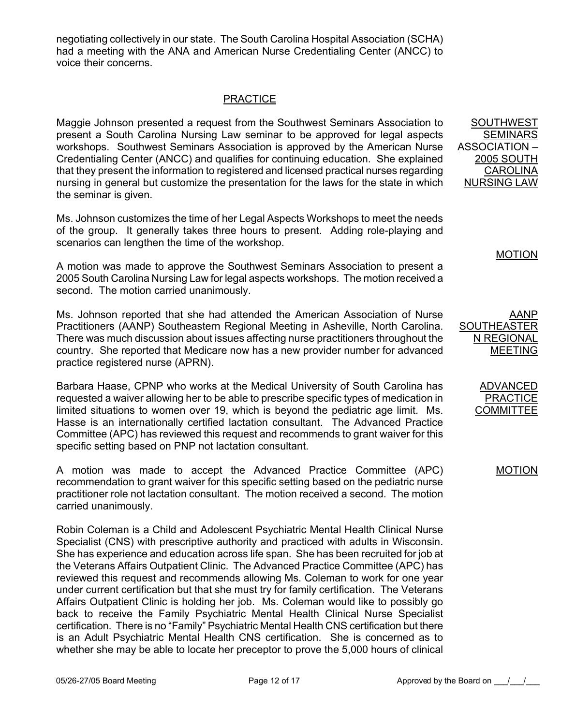negotiating collectively in our state. The South Carolina Hospital Association (SCHA) had a meeting with the ANA and American Nurse Credentialing Center (ANCC) to voice their concerns.

# PRACTICE

Maggie Johnson presented a request from the Southwest Seminars Association to present a South Carolina Nursing Law seminar to be approved for legal aspects workshops. Southwest Seminars Association is approved by the American Nurse Credentialing Center (ANCC) and qualifies for continuing education. She explained that they present the information to registered and licensed practical nurses regarding nursing in general but customize the presentation for the laws for the state in which the seminar is given.

Ms. Johnson customizes the time of her Legal Aspects Workshops to meet the needs of the group. It generally takes three hours to present. Adding role-playing and scenarios can lengthen the time of the workshop.

A motion was made to approve the Southwest Seminars Association to present a 2005 South Carolina Nursing Law for legal aspects workshops. The motion received a second. The motion carried unanimously.

Ms. Johnson reported that she had attended the American Association of Nurse Practitioners (AANP) Southeastern Regional Meeting in Asheville, North Carolina. There was much discussion about issues affecting nurse practitioners throughout the country. She reported that Medicare now has a new provider number for advanced practice registered nurse (APRN).

Barbara Haase, CPNP who works at the Medical University of South Carolina has requested a waiver allowing her to be able to prescribe specific types of medication in limited situations to women over 19, which is beyond the pediatric age limit. Ms. Hasse is an internationally certified lactation consultant. The Advanced Practice Committee (APC) has reviewed this request and recommends to grant waiver for this specific setting based on PNP not lactation consultant.

A motion was made to accept the Advanced Practice Committee (APC) recommendation to grant waiver for this specific setting based on the pediatric nurse practitioner role not lactation consultant. The motion received a second. The motion carried unanimously.

Robin Coleman is a Child and Adolescent Psychiatric Mental Health Clinical Nurse Specialist (CNS) with prescriptive authority and practiced with adults in Wisconsin. She has experience and education across life span. She has been recruited for job at the Veterans Affairs Outpatient Clinic. The Advanced Practice Committee (APC) has reviewed this request and recommends allowing Ms. Coleman to work for one year under current certification but that she must try for family certification. The Veterans Affairs Outpatient Clinic is holding her job. Ms. Coleman would like to possibly go back to receive the Family Psychiatric Mental Health Clinical Nurse Specialist certification. There is no "Family" Psychiatric Mental Health CNS certification but there is an Adult Psychiatric Mental Health CNS certification. She is concerned as to whether she may be able to locate her preceptor to prove the 5,000 hours of clinical

SOUTHWEST SEMINARS ASSOCIATION – 2005 SOUTH CAROLINA NURSING LAW

MOTION

AANP SOUTHEASTER N REGIONAL MEETING

> ADVANCED **PRACTICE COMMITTEE**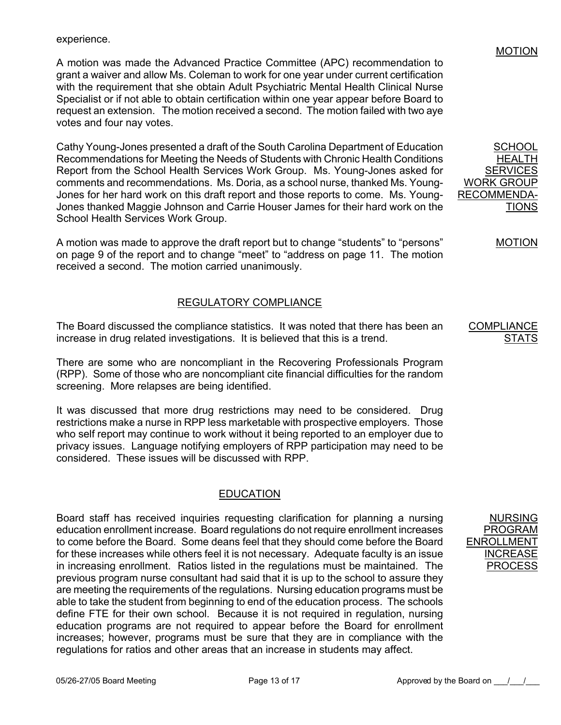experience.

A motion was made the Advanced Practice Committee (APC) recommendation to grant a waiver and allow Ms. Coleman to work for one year under current certification with the requirement that she obtain Adult Psychiatric Mental Health Clinical Nurse Specialist or if not able to obtain certification within one year appear before Board to request an extension. The motion received a second. The motion failed with two aye votes and four nay votes.

Cathy Young-Jones presented a draft of the South Carolina Department of Education Recommendations for Meeting the Needs of Students with Chronic Health Conditions Report from the School Health Services Work Group. Ms. Young-Jones asked for comments and recommendations. Ms. Doria, as a school nurse, thanked Ms. Young-Jones for her hard work on this draft report and those reports to come. Ms. Young-Jones thanked Maggie Johnson and Carrie Houser James for their hard work on the School Health Services Work Group.

A motion was made to approve the draft report but to change "students" to "persons" on page 9 of the report and to change "meet" to "address on page 11. The motion received a second. The motion carried unanimously.

# REGULATORY COMPLIANCE

The Board discussed the compliance statistics. It was noted that there has been an increase in drug related investigations. It is believed that this is a trend.

There are some who are noncompliant in the Recovering Professionals Program (RPP). Some of those who are noncompliant cite financial difficulties for the random screening. More relapses are being identified.

It was discussed that more drug restrictions may need to be considered. Drug restrictions make a nurse in RPP less marketable with prospective employers. Those who self report may continue to work without it being reported to an employer due to privacy issues. Language notifying employers of RPP participation may need to be considered. These issues will be discussed with RPP.

# EDUCATION

Board staff has received inquiries requesting clarification for planning a nursing education enrollment increase. Board regulations do not require enrollment increases to come before the Board. Some deans feel that they should come before the Board for these increases while others feel it is not necessary. Adequate faculty is an issue in increasing enrollment. Ratios listed in the regulations must be maintained. The previous program nurse consultant had said that it is up to the school to assure they are meeting the requirements of the regulations. Nursing education programs must be able to take the student from beginning to end of the education process. The schools define FTE for their own school. Because it is not required in regulation, nursing education programs are not required to appear before the Board for enrollment increases; however, programs must be sure that they are in compliance with the regulations for ratios and other areas that an increase in students may affect.

NURSING PROGRAM ENROLLMENT INCREASE

PROCESS

#### MOTION

SCHOOL HEALTH **SERVICES** WORK GROUP RECOMMENDA-**TIONS** 

MOTION

**COMPLIANC** <u>STATS</u>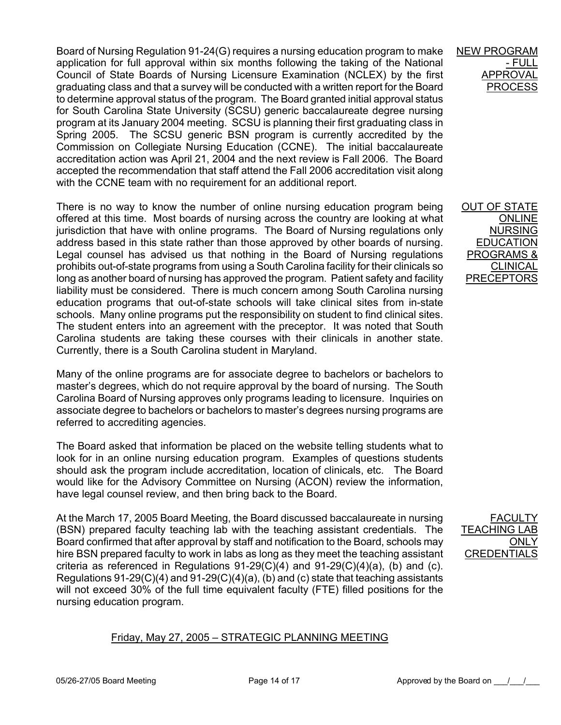Board of Nursing Regulation 91-24(G) requires a nursing education program to make application for full approval within six months following the taking of the National Council of State Boards of Nursing Licensure Examination (NCLEX) by the first graduating class and that a survey will be conducted with a written report for the Board to determine approval status of the program. The Board granted initial approval status for South Carolina State University (SCSU) generic baccalaureate degree nursing program at its January 2004 meeting. SCSU is planning their first graduating class in Spring 2005. The SCSU generic BSN program is currently accredited by the Commission on Collegiate Nursing Education (CCNE). The initial baccalaureate accreditation action was April 21, 2004 and the next review is Fall 2006. The Board accepted the recommendation that staff attend the Fall 2006 accreditation visit along with the CCNE team with no requirement for an additional report.

There is no way to know the number of online nursing education program being offered at this time. Most boards of nursing across the country are looking at what jurisdiction that have with online programs. The Board of Nursing regulations only address based in this state rather than those approved by other boards of nursing. Legal counsel has advised us that nothing in the Board of Nursing regulations prohibits out-of-state programs from using a South Carolina facility for their clinicals so long as another board of nursing has approved the program. Patient safety and facility liability must be considered. There is much concern among South Carolina nursing education programs that out-of-state schools will take clinical sites from in-state schools. Many online programs put the responsibility on student to find clinical sites. The student enters into an agreement with the preceptor. It was noted that South Carolina students are taking these courses with their clinicals in another state. Currently, there is a South Carolina student in Maryland.

Many of the online programs are for associate degree to bachelors or bachelors to master's degrees, which do not require approval by the board of nursing. The South Carolina Board of Nursing approves only programs leading to licensure. Inquiries on associate degree to bachelors or bachelors to master's degrees nursing programs are referred to accrediting agencies.

The Board asked that information be placed on the website telling students what to look for in an online nursing education program. Examples of questions students should ask the program include accreditation, location of clinicals, etc. The Board would like for the Advisory Committee on Nursing (ACON) review the information, have legal counsel review, and then bring back to the Board.

At the March 17, 2005 Board Meeting, the Board discussed baccalaureate in nursing (BSN) prepared faculty teaching lab with the teaching assistant credentials. The Board confirmed that after approval by staff and notification to the Board, schools may hire BSN prepared faculty to work in labs as long as they meet the teaching assistant criteria as referenced in Regulations  $91-29(C)(4)$  and  $91-29(C)(4)(a)$ , (b) and (c). Regulations 91-29(C)(4) and 91-29(C)(4)(a), (b) and (c) state that teaching assistants will not exceed 30% of the full time equivalent faculty (FTE) filled positions for the nursing education program.

# Friday, May 27, 2005 – STRATEGIC PLANNING MEETING

NEW PROGRAM <u>- FULL</u> **APPROVA** PROCE

OUT OF STATE ONLINE NURSING EDUCATION PROGRAMS & **CLINICAL** PRECEPTORS

**FACUL TEACHING L** ONLY<sub>.</sub> **CREDENTIA**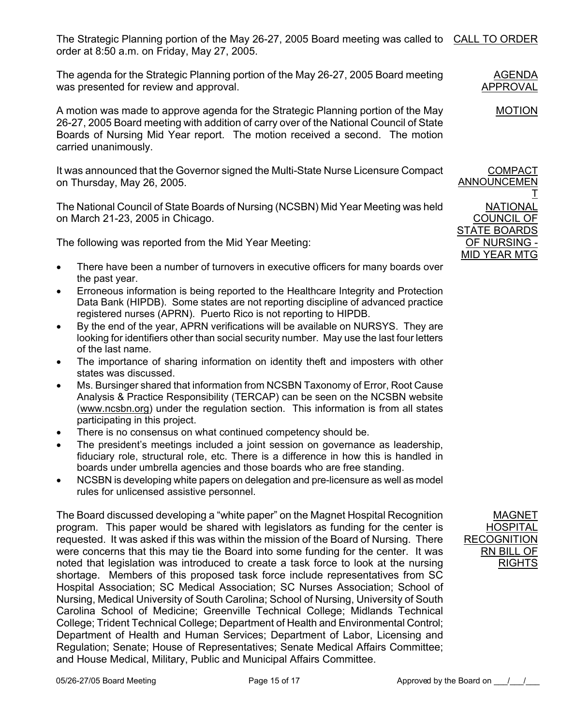The Strategic Planning portion of the May 26-27, 2005 Board meeting was called to CALL TO ORDER order at 8:50 a.m. on Friday, May 27, 2005.

The agenda for the Strategic Planning portion of the May 26-27, 2005 Board meeting was presented for review and approval.

A motion was made to approve agenda for the Strategic Planning portion of the May 26-27, 2005 Board meeting with addition of carry over of the National Council of State Boards of Nursing Mid Year report. The motion received a second. The motion carried unanimously.

It was announced that the Governor signed the Multi-State Nurse Licensure Compact on Thursday, May 26, 2005.

The National Council of State Boards of Nursing (NCSBN) Mid Year Meeting was held on March 21-23, 2005 in Chicago.

The following was reported from the Mid Year Meeting:

- There have been a number of turnovers in executive officers for many boards over the past year.
- Erroneous information is being reported to the Healthcare Integrity and Protection Data Bank (HIPDB). Some states are not reporting discipline of advanced practice registered nurses (APRN). Puerto Rico is not reporting to HIPDB.
- By the end of the year, APRN verifications will be available on NURSYS. They are looking for identifiers other than social security number. May use the last four letters of the last name.
- The importance of sharing information on identity theft and imposters with other states was discussed.
- Ms. Bursinger shared that information from NCSBN Taxonomy of Error, Root Cause Analysis & Practice Responsibility (TERCAP) can be seen on the NCSBN website (www.ncsbn.org) under the regulation section. This information is from all states participating in this project.
- There is no consensus on what continued competency should be.
- The president's meetings included a joint session on governance as leadership, fiduciary role, structural role, etc. There is a difference in how this is handled in boards under umbrella agencies and those boards who are free standing.
- NCSBN is developing white papers on delegation and pre-licensure as well as model rules for unlicensed assistive personnel.

The Board discussed developing a "white paper" on the Magnet Hospital Recognition program. This paper would be shared with legislators as funding for the center is requested. It was asked if this was within the mission of the Board of Nursing. There were concerns that this may tie the Board into some funding for the center. It was noted that legislation was introduced to create a task force to look at the nursing shortage. Members of this proposed task force include representatives from SC Hospital Association; SC Medical Association; SC Nurses Association; School of Nursing, Medical University of South Carolina; School of Nursing, University of South Carolina School of Medicine; Greenville Technical College; Midlands Technical College; Trident Technical College; Department of Health and Environmental Control; Department of Health and Human Services; Department of Labor, Licensing and Regulation; Senate; House of Representatives; Senate Medical Affairs Committee; and House Medical, Military, Public and Municipal Affairs Committee.

**COMPACT** ANNOUNCEMEN T **NATIONAL** COUNCIL OF STATE BOARDS OF NURSING -

MID YEAR MTG

MAGNET **HOSPITAL RECOGNITION** RN BILL OF RIGHTS

AGENDA APPROVAL